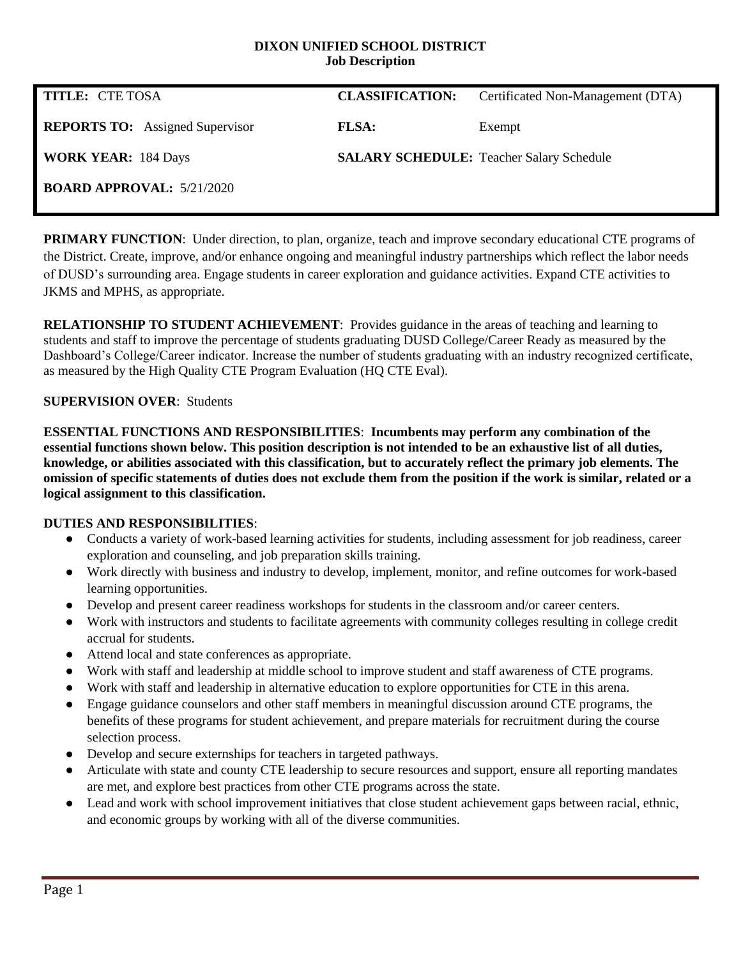#### **DIXON UNIFIED SCHOOL DISTRICT Job Description**

| <b>TITLE: CTE TOSA</b>                 | <b>CLASSIFICATION:</b> | Certificated Non-Management (DTA)               |
|----------------------------------------|------------------------|-------------------------------------------------|
| <b>REPORTS TO:</b> Assigned Supervisor | <b>FLSA:</b>           | Exempt                                          |
| <b>WORK YEAR: 184 Days</b>             |                        | <b>SALARY SCHEDULE:</b> Teacher Salary Schedule |
| <b>BOARD APPROVAL: 5/21/2020</b>       |                        |                                                 |

**PRIMARY FUNCTION:** Under direction, to plan, organize, teach and improve secondary educational CTE programs of the District. Create, improve, and/or enhance ongoing and meaningful industry partnerships which reflect the labor needs of DUSD's surrounding area. Engage students in career exploration and guidance activities. Expand CTE activities to JKMS and MPHS, as appropriate.

**RELATIONSHIP TO STUDENT ACHIEVEMENT**: Provides guidance in the areas of teaching and learning to students and staff to improve the percentage of students graduating DUSD College/Career Ready as measured by the Dashboard's College/Career indicator. Increase the number of students graduating with an industry recognized certificate, as measured by the High Quality CTE Program Evaluation (HQ CTE Eval).

### **SUPERVISION OVER**: Students

**ESSENTIAL FUNCTIONS AND RESPONSIBILITIES**: **Incumbents may perform any combination of the essential functions shown below. This position description is not intended to be an exhaustive list of all duties, knowledge, or abilities associated with this classification, but to accurately reflect the primary job elements. The omission of specific statements of duties does not exclude them from the position if the work is similar, related or a logical assignment to this classification.**

# **DUTIES AND RESPONSIBILITIES**:

- Conducts a variety of work-based learning activities for students, including assessment for job readiness, career exploration and counseling, and job preparation skills training.
- Work directly with business and industry to develop, implement, monitor, and refine outcomes for work-based learning opportunities.
- Develop and present career readiness workshops for students in the classroom and/or career centers.
- Work with instructors and students to facilitate agreements with community colleges resulting in college credit accrual for students.
- Attend local and state conferences as appropriate.
- Work with staff and leadership at middle school to improve student and staff awareness of CTE programs.
- Work with staff and leadership in alternative education to explore opportunities for CTE in this arena.
- Engage guidance counselors and other staff members in meaningful discussion around CTE programs, the benefits of these programs for student achievement, and prepare materials for recruitment during the course selection process.
- Develop and secure externships for teachers in targeted pathways.
- Articulate with state and county CTE leadership to secure resources and support, ensure all reporting mandates are met, and explore best practices from other CTE programs across the state.
- Lead and work with school improvement initiatives that close student achievement gaps between racial, ethnic, and economic groups by working with all of the diverse communities.